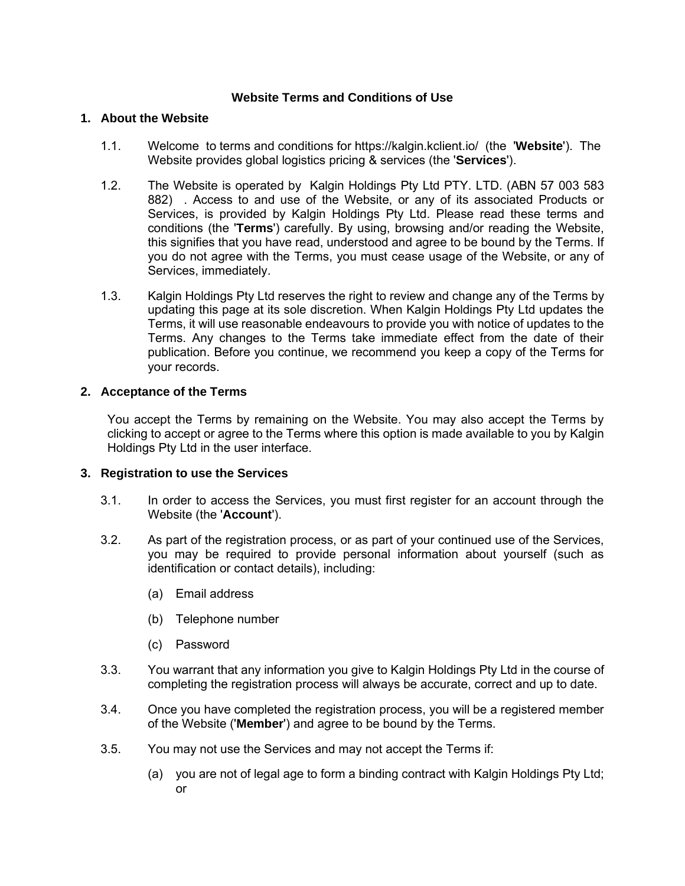## **Website Terms and Conditions of Use**

#### **1. About the Website**

- 1.1. Welcome to terms and conditions for ht[tps://kalgin.kclient.io/](https://kalgin.com.au/) (the '**Website**'). The Website provides global logistics pricing & services (the '**Services**').
- 1.2. The Website is operated by Kalgin Holdings Pty Ltd PTY. LTD. (ABN 57 003 583 882) . Access to and use of the Website, or any of its associated Products or Services, is provided by Kalgin Holdings Pty Ltd. Please read these terms and conditions (the '**Terms**') carefully. By using, browsing and/or reading the Website, this signifies that you have read, understood and agree to be bound by the Terms. If you do not agree with the Terms, you must cease usage of the Website, or any of Services, immediately.
- 1.3. Kalgin Holdings Pty Ltd reserves the right to review and change any of the Terms by updating this page at its sole discretion. When Kalgin Holdings Pty Ltd updates the Terms, it will use reasonable endeavours to provide you with notice of updates to the Terms. Any changes to the Terms take immediate effect from the date of their publication. Before you continue, we recommend you keep a copy of the Terms for your records.

#### **2. Acceptance of the Terms**

You accept the Terms by remaining on the Website. You may also accept the Terms by clicking to accept or agree to the Terms where this option is made available to you by Kalgin Holdings Pty Ltd in the user interface.

#### **3. Registration to use the Services**

- 3.1. In order to access the Services, you must first register for an account through the Website (the '**Account**').
- 3.2. As part of the registration process, or as part of your continued use of the Services, you may be required to provide personal information about yourself (such as identification or contact details), including:
	- (a) Email address
	- (b) Telephone number
	- (c) Password
- 3.3. You warrant that any information you give to Kalgin Holdings Pty Ltd in the course of completing the registration process will always be accurate, correct and up to date.
- 3.4. Once you have completed the registration process, you will be a registered member of the Website ('**Member**') and agree to be bound by the Terms.
- 3.5. You may not use the Services and may not accept the Terms if:
	- (a) you are not of legal age to form a binding contract with Kalgin Holdings Pty Ltd; or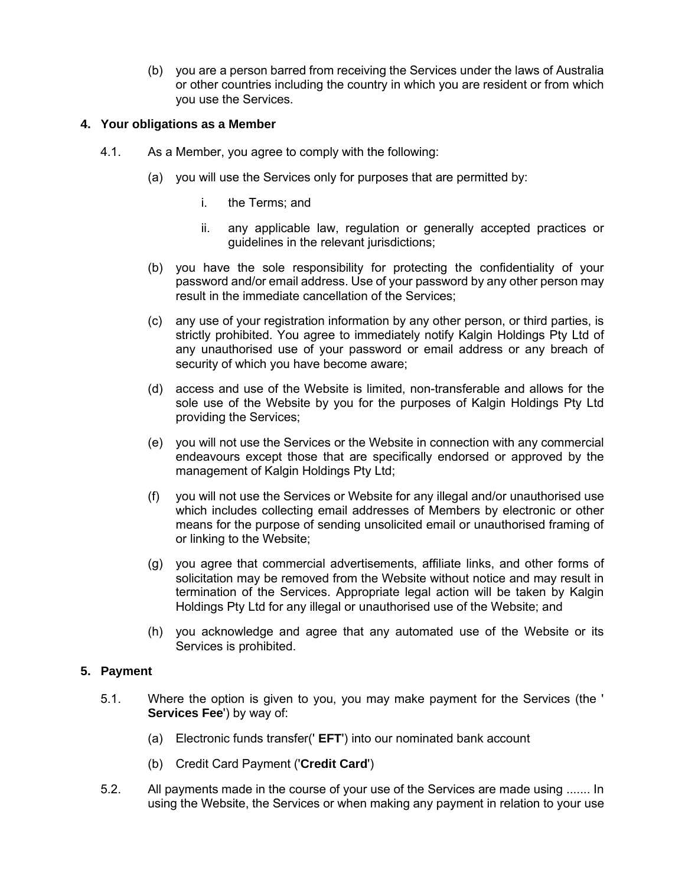(b) you are a person barred from receiving the Services under the laws of Australia or other countries including the country in which you are resident or from which you use the Services.

### **4. Your obligations as a Member**

- 4.1. As a Member, you agree to comply with the following:
	- (a) you will use the Services only for purposes that are permitted by:
		- i. the Terms; and
		- ii. any applicable law, regulation or generally accepted practices or guidelines in the relevant jurisdictions;
	- (b) you have the sole responsibility for protecting the confidentiality of your password and/or email address. Use of your password by any other person may result in the immediate cancellation of the Services;
	- (c) any use of your registration information by any other person, or third parties, is strictly prohibited. You agree to immediately notify Kalgin Holdings Pty Ltd of any unauthorised use of your password or email address or any breach of security of which you have become aware;
	- (d) access and use of the Website is limited, non-transferable and allows for the sole use of the Website by you for the purposes of Kalgin Holdings Pty Ltd providing the Services;
	- (e) you will not use the Services or the Website in connection with any commercial endeavours except those that are specifically endorsed or approved by the management of Kalgin Holdings Pty Ltd;
	- (f) you will not use the Services or Website for any illegal and/or unauthorised use which includes collecting email addresses of Members by electronic or other means for the purpose of sending unsolicited email or unauthorised framing of or linking to the Website;
	- (g) you agree that commercial advertisements, affiliate links, and other forms of solicitation may be removed from the Website without notice and may result in termination of the Services. Appropriate legal action will be taken by Kalgin Holdings Pty Ltd for any illegal or unauthorised use of the Website; and
	- (h) you acknowledge and agree that any automated use of the Website or its Services is prohibited.

# **5. Payment**

- 5.1. Where the option is given to you, you may make payment for the Services (the ' **Services Fee**') by way of:
	- (a) Electronic funds transfer(' **EFT**') into our nominated bank account
	- (b) Credit Card Payment ('**Credit Card**')
- 5.2. All payments made in the course of your use of the Services are made using ....... In using the Website, the Services or when making any payment in relation to your use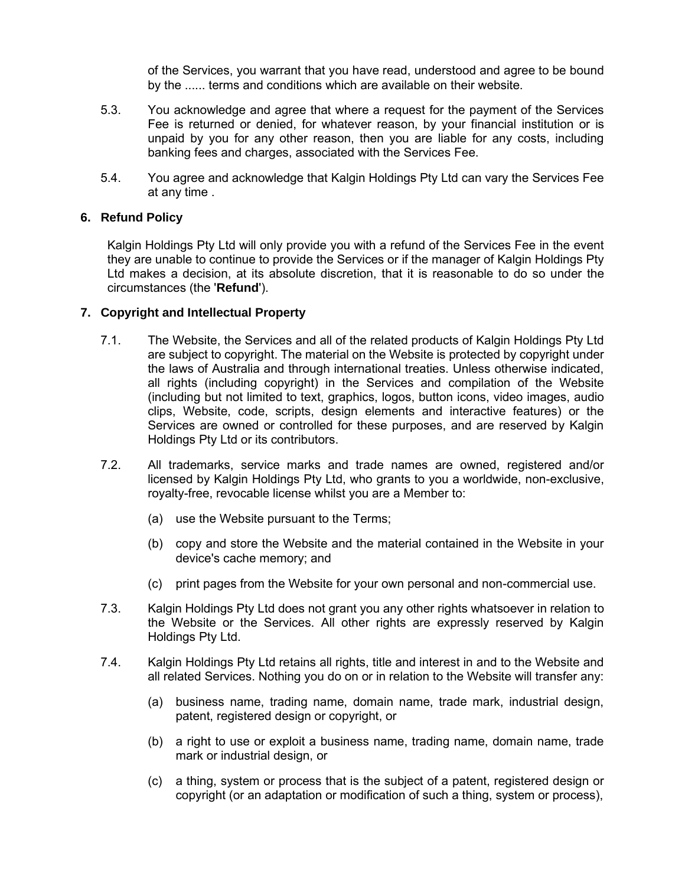of the Services, you warrant that you have read, understood and agree to be bound by the ...... terms and conditions which are available on their website.

- 5.3. You acknowledge and agree that where a request for the payment of the Services Fee is returned or denied, for whatever reason, by your financial institution or is unpaid by you for any other reason, then you are liable for any costs, including banking fees and charges, associated with the Services Fee.
- 5.4. You agree and acknowledge that Kalgin Holdings Pty Ltd can vary the Services Fee at any time .

## **6. Refund Policy**

Kalgin Holdings Pty Ltd will only provide you with a refund of the Services Fee in the event they are unable to continue to provide the Services or if the manager of Kalgin Holdings Pty Ltd makes a decision, at its absolute discretion, that it is reasonable to do so under the circumstances (the '**Refund**').

## **7. Copyright and Intellectual Property**

- 7.1. The Website, the Services and all of the related products of Kalgin Holdings Pty Ltd are subject to copyright. The material on the Website is protected by copyright under the laws of Australia and through international treaties. Unless otherwise indicated, all rights (including copyright) in the Services and compilation of the Website (including but not limited to text, graphics, logos, button icons, video images, audio clips, Website, code, scripts, design elements and interactive features) or the Services are owned or controlled for these purposes, and are reserved by Kalgin Holdings Pty Ltd or its contributors.
- 7.2. All trademarks, service marks and trade names are owned, registered and/or licensed by Kalgin Holdings Pty Ltd, who grants to you a worldwide, non-exclusive, royalty-free, revocable license whilst you are a Member to:
	- (a) use the Website pursuant to the Terms;
	- (b) copy and store the Website and the material contained in the Website in your device's cache memory; and
	- (c) print pages from the Website for your own personal and non-commercial use.
- 7.3. Kalgin Holdings Pty Ltd does not grant you any other rights whatsoever in relation to the Website or the Services. All other rights are expressly reserved by Kalgin Holdings Pty Ltd.
- 7.4. Kalgin Holdings Pty Ltd retains all rights, title and interest in and to the Website and all related Services. Nothing you do on or in relation to the Website will transfer any:
	- (a) business name, trading name, domain name, trade mark, industrial design, patent, registered design or copyright, or
	- (b) a right to use or exploit a business name, trading name, domain name, trade mark or industrial design, or
	- (c) a thing, system or process that is the subject of a patent, registered design or copyright (or an adaptation or modification of such a thing, system or process),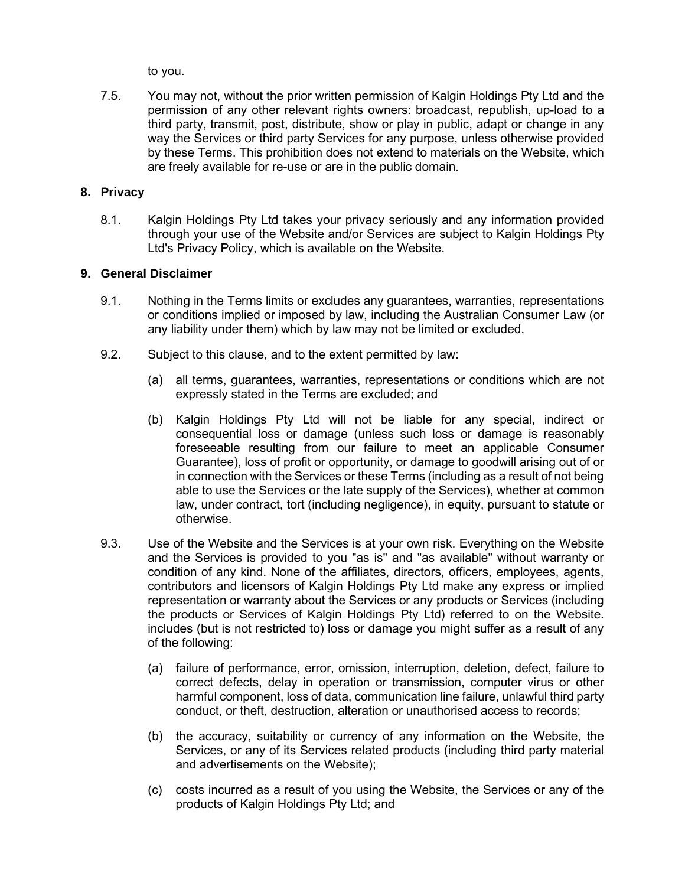to you.

7.5. You may not, without the prior written permission of Kalgin Holdings Pty Ltd and the permission of any other relevant rights owners: broadcast, republish, up-load to a third party, transmit, post, distribute, show or play in public, adapt or change in any way the Services or third party Services for any purpose, unless otherwise provided by these Terms. This prohibition does not extend to materials on the Website, which are freely available for re-use or are in the public domain.

## **8. Privacy**

8.1. Kalgin Holdings Pty Ltd takes your privacy seriously and any information provided through your use of the Website and/or Services are subject to Kalgin Holdings Pty Ltd's Privacy Policy, which is available on the Website.

## **9. General Disclaimer**

- 9.1. Nothing in the Terms limits or excludes any guarantees, warranties, representations or conditions implied or imposed by law, including the Australian Consumer Law (or any liability under them) which by law may not be limited or excluded.
- 9.2. Subject to this clause, and to the extent permitted by law:
	- (a) all terms, guarantees, warranties, representations or conditions which are not expressly stated in the Terms are excluded; and
	- (b) Kalgin Holdings Pty Ltd will not be liable for any special, indirect or consequential loss or damage (unless such loss or damage is reasonably foreseeable resulting from our failure to meet an applicable Consumer Guarantee), loss of profit or opportunity, or damage to goodwill arising out of or in connection with the Services or these Terms (including as a result of not being able to use the Services or the late supply of the Services), whether at common law, under contract, tort (including negligence), in equity, pursuant to statute or otherwise.
- 9.3. Use of the Website and the Services is at your own risk. Everything on the Website and the Services is provided to you "as is" and "as available" without warranty or condition of any kind. None of the affiliates, directors, officers, employees, agents, contributors and licensors of Kalgin Holdings Pty Ltd make any express or implied representation or warranty about the Services or any products or Services (including the products or Services of Kalgin Holdings Pty Ltd) referred to on the Website. includes (but is not restricted to) loss or damage you might suffer as a result of any of the following:
	- (a) failure of performance, error, omission, interruption, deletion, defect, failure to correct defects, delay in operation or transmission, computer virus or other harmful component, loss of data, communication line failure, unlawful third party conduct, or theft, destruction, alteration or unauthorised access to records;
	- (b) the accuracy, suitability or currency of any information on the Website, the Services, or any of its Services related products (including third party material and advertisements on the Website);
	- (c) costs incurred as a result of you using the Website, the Services or any of the products of Kalgin Holdings Pty Ltd; and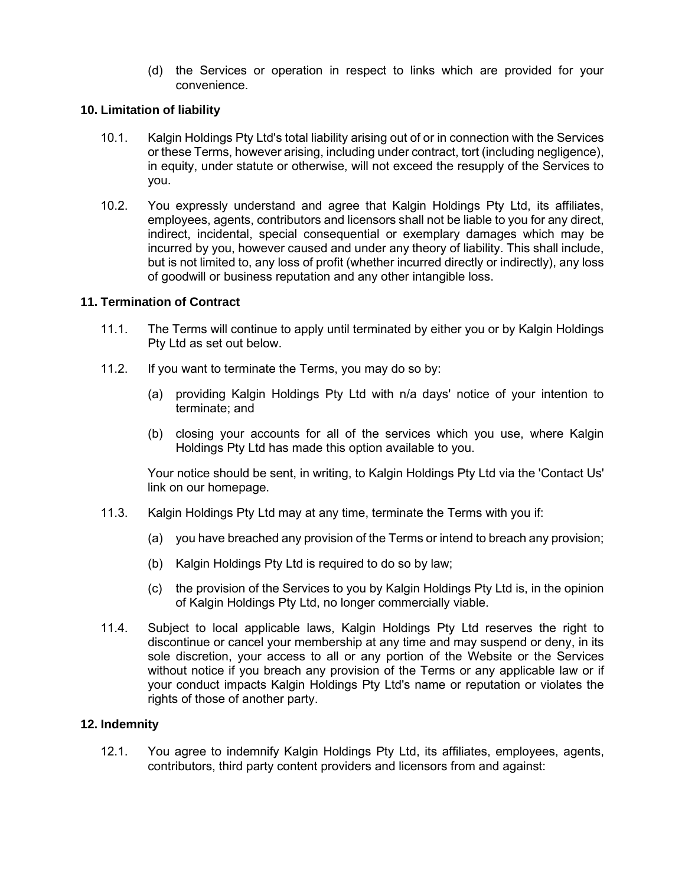(d) the Services or operation in respect to links which are provided for your convenience.

## **10. Limitation of liability**

- 10.1. Kalgin Holdings Pty Ltd's total liability arising out of or in connection with the Services or these Terms, however arising, including under contract, tort (including negligence), in equity, under statute or otherwise, will not exceed the resupply of the Services to you.
- 10.2. You expressly understand and agree that Kalgin Holdings Pty Ltd, its affiliates, employees, agents, contributors and licensors shall not be liable to you for any direct, indirect, incidental, special consequential or exemplary damages which may be incurred by you, however caused and under any theory of liability. This shall include, but is not limited to, any loss of profit (whether incurred directly or indirectly), any loss of goodwill or business reputation and any other intangible loss.

## **11. Termination of Contract**

- 11.1. The Terms will continue to apply until terminated by either you or by Kalgin Holdings Pty Ltd as set out below.
- 11.2. If you want to terminate the Terms, you may do so by:
	- (a) providing Kalgin Holdings Pty Ltd with n/a days' notice of your intention to terminate; and
	- (b) closing your accounts for all of the services which you use, where Kalgin Holdings Pty Ltd has made this option available to you.

Your notice should be sent, in writing, to Kalgin Holdings Pty Ltd via the 'Contact Us' link on our homepage.

- 11.3. Kalgin Holdings Pty Ltd may at any time, terminate the Terms with you if:
	- (a) you have breached any provision of the Terms or intend to breach any provision;
	- (b) Kalgin Holdings Pty Ltd is required to do so by law;
	- (c) the provision of the Services to you by Kalgin Holdings Pty Ltd is, in the opinion of Kalgin Holdings Pty Ltd, no longer commercially viable.
- 11.4. Subject to local applicable laws, Kalgin Holdings Pty Ltd reserves the right to discontinue or cancel your membership at any time and may suspend or deny, in its sole discretion, your access to all or any portion of the Website or the Services without notice if you breach any provision of the Terms or any applicable law or if your conduct impacts Kalgin Holdings Pty Ltd's name or reputation or violates the rights of those of another party.

#### **12. Indemnity**

12.1. You agree to indemnify Kalgin Holdings Pty Ltd, its affiliates, employees, agents, contributors, third party content providers and licensors from and against: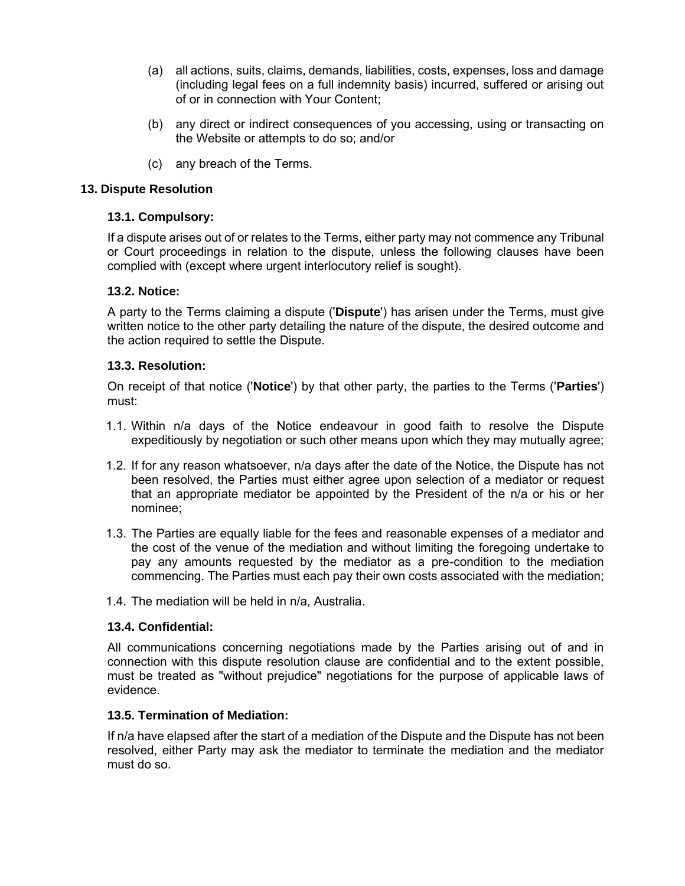- (a) all actions, suits, claims, demands, liabilities, costs, expenses, loss and damage (including legal fees on a full indemnity basis) incurred, suffered or arising out of or in connection with Your Content;
- (b) any direct or indirect consequences of you accessing, using or transacting on the Website or attempts to do so; and/or
- (c) any breach of the Terms.

# **13. Dispute Resolution**

# **13.1. Compulsory:**

If a dispute arises out of or relates to the Terms, either party may not commence any Tribunal or Court proceedings in relation to the dispute, unless the following clauses have been complied with (except where urgent interlocutory relief is sought).

# **13.2. Notice:**

A party to the Terms claiming a dispute ('**Dispute**') has arisen under the Terms, must give written notice to the other party detailing the nature of the dispute, the desired outcome and the action required to settle the Dispute.

# **13.3. Resolution:**

On receipt of that notice ('**Notice**') by that other party, the parties to the Terms ('**Parties**') must:

- 1.1. Within n/a days of the Notice endeavour in good faith to resolve the Dispute expeditiously by negotiation or such other means upon which they may mutually agree;
- 1.2. If for any reason whatsoever, n/a days after the date of the Notice, the Dispute has not been resolved, the Parties must either agree upon selection of a mediator or request that an appropriate mediator be appointed by the President of the n/a or his or her nominee;
- 1.3. The Parties are equally liable for the fees and reasonable expenses of a mediator and the cost of the venue of the mediation and without limiting the foregoing undertake to pay any amounts requested by the mediator as a pre-condition to the mediation commencing. The Parties must each pay their own costs associated with the mediation;
- 1.4. The mediation will be held in n/a, Australia.

# **13.4. Confidential:**

All communications concerning negotiations made by the Parties arising out of and in connection with this dispute resolution clause are confidential and to the extent possible, must be treated as "without prejudice" negotiations for the purpose of applicable laws of evidence.

# **13.5. Termination of Mediation:**

If n/a have elapsed after the start of a mediation of the Dispute and the Dispute has not been resolved, either Party may ask the mediator to terminate the mediation and the mediator must do so.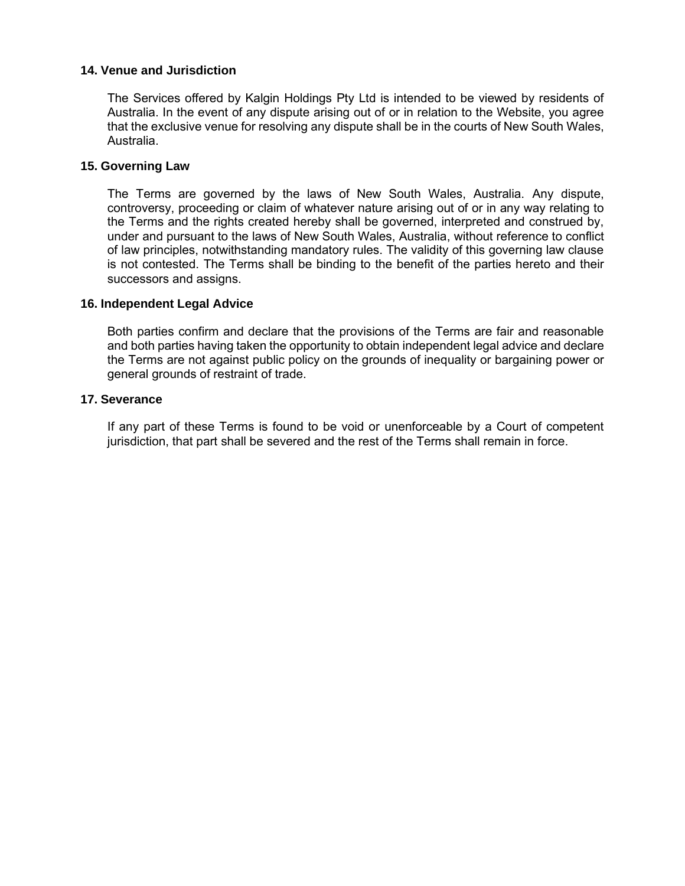## **14. Venue and Jurisdiction**

The Services offered by Kalgin Holdings Pty Ltd is intended to be viewed by residents of Australia. In the event of any dispute arising out of or in relation to the Website, you agree that the exclusive venue for resolving any dispute shall be in the courts of New South Wales, Australia.

### **15. Governing Law**

The Terms are governed by the laws of New South Wales, Australia. Any dispute, controversy, proceeding or claim of whatever nature arising out of or in any way relating to the Terms and the rights created hereby shall be governed, interpreted and construed by, under and pursuant to the laws of New South Wales, Australia, without reference to conflict of law principles, notwithstanding mandatory rules. The validity of this governing law clause is not contested. The Terms shall be binding to the benefit of the parties hereto and their successors and assigns.

#### **16. Independent Legal Advice**

Both parties confirm and declare that the provisions of the Terms are fair and reasonable and both parties having taken the opportunity to obtain independent legal advice and declare the Terms are not against public policy on the grounds of inequality or bargaining power or general grounds of restraint of trade.

#### **17. Severance**

If any part of these Terms is found to be void or unenforceable by a Court of competent jurisdiction, that part shall be severed and the rest of the Terms shall remain in force.